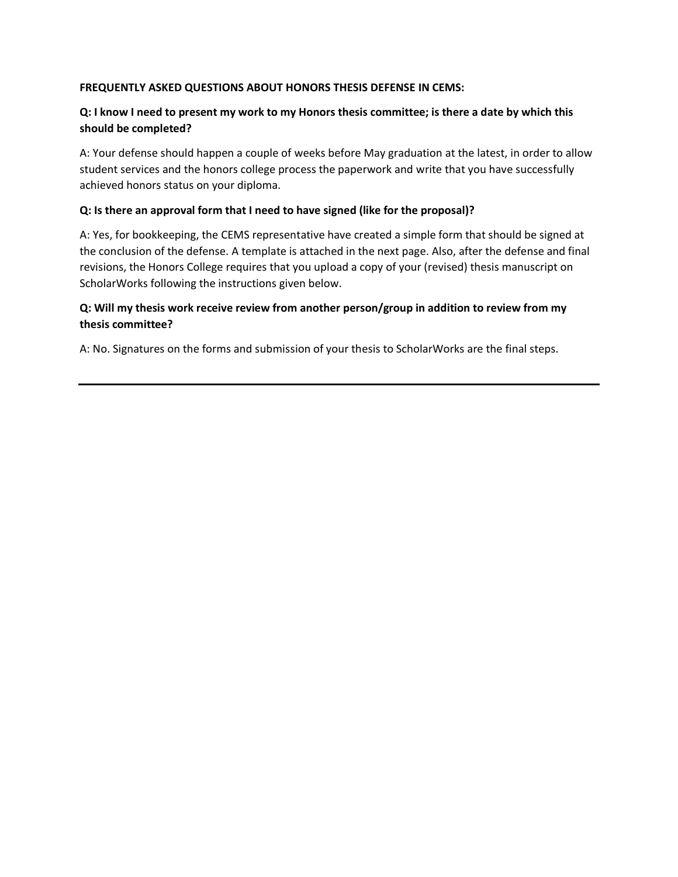### **FREQUENTLY ASKED QUESTIONS ABOUT HONORS THESIS DEFENSE IN CEMS:**

## **Q: I know I need to present my work to my Honors thesis committee; is there a date by which this should be completed?**

A: Your defense should happen a couple of weeks before May graduation at the latest, in order to allow student services and the honors college process the paperwork and write that you have successfully achieved honors status on your diploma.

### **Q: Is there an approval form that I need to have signed (like for the proposal)?**

A: Yes, for bookkeeping, the CEMS representative have created a simple form that should be signed at the conclusion of the defense. A template is attached in the next page. Also, after the defense and final revisions, the Honors College requires that you upload a copy of your (revised) thesis manuscript on ScholarWorks following the instructions given below.

## **Q: Will my thesis work receive review from another person/group in addition to review from my thesis committee?**

A: No. Signatures on the forms and submission of your thesis to ScholarWorks are the final steps.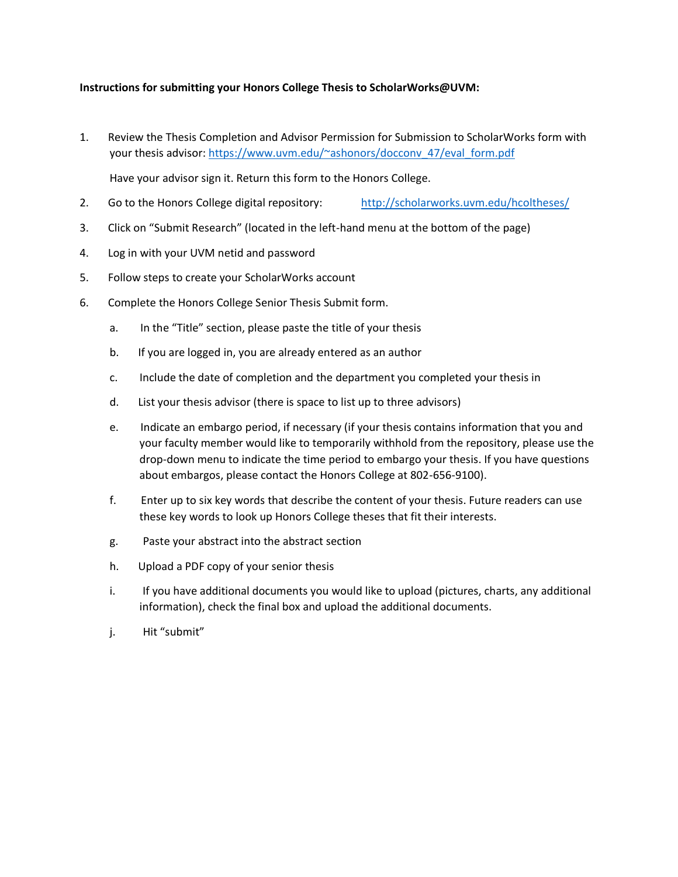### **Instructions for submitting your Honors College Thesis to ScholarWorks@UVM:**

1. Review the Thesis Completion and Advisor Permission for Submission to ScholarWorks form with your thesis advisor: [https://www.uvm.edu/~ashonors/docconv\\_47/eval\\_form.pdf](https://www.uvm.edu/~ashonors/docconv_47/eval_form.pdf)

Have your advisor sign it. Return this form to the Honors College.

- 2. Go to the Honors College digital repository: <http://scholarworks.uvm.edu/hcoltheses/>
- 3. Click on "Submit Research" (located in the left-hand menu at the bottom of the page)
- 4. Log in with your UVM netid and password
- 5. Follow steps to create your ScholarWorks account
- 6. Complete the Honors College Senior Thesis Submit form.
	- a. In the "Title" section, please paste the title of your thesis
	- b. If you are logged in, you are already entered as an author
	- c. Include the date of completion and the department you completed your thesis in
	- d. List your thesis advisor (there is space to list up to three advisors)
	- e. Indicate an embargo period, if necessary (if your thesis contains information that you and your faculty member would like to temporarily withhold from the repository, please use the drop-down menu to indicate the time period to embargo your thesis. If you have questions about embargos, please contact the Honors College at 802-656-9100).
	- f. Enter up to six key words that describe the content of your thesis. Future readers can use these key words to look up Honors College theses that fit their interests.
	- g. Paste your abstract into the abstract section
	- h. Upload a PDF copy of your senior thesis
	- i. If you have additional documents you would like to upload (pictures, charts, any additional information), check the final box and upload the additional documents.
	- j. Hit "submit"